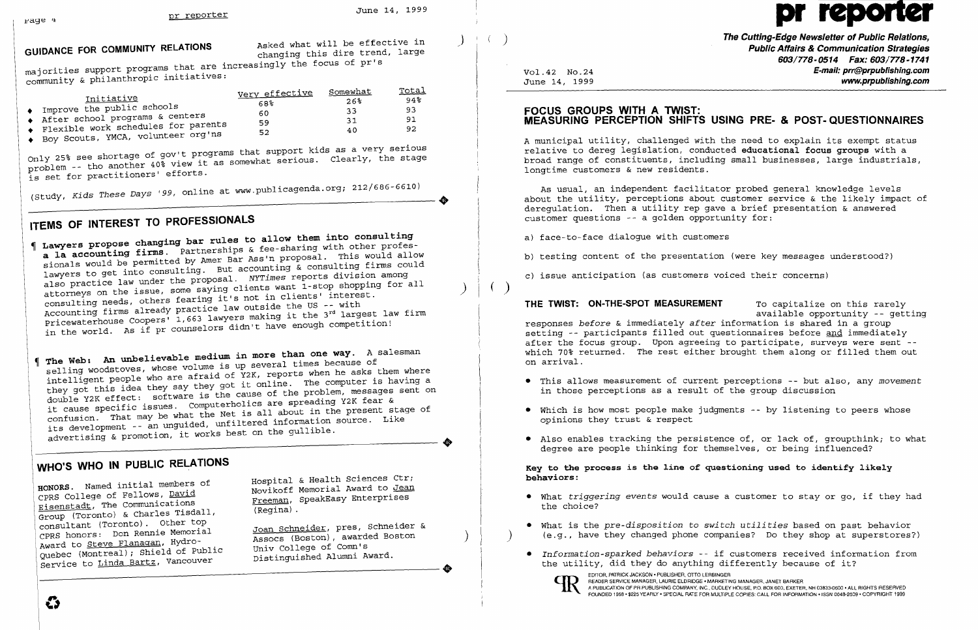GUIDANCE FOR COMMUNITY RELATIONS **Asked what will be effective in** Asked what will be effective in

majorities support programs that are increasingly the focus of pr's community & philanthropic initiatives:

| I <u>nitiative</u><br>Improve the public schools<br>After school programs & centers<br>Flexible work schedules for parents<br>♦ Boy Scouts, YMCA, volunteer org'ns | <u>Very effective</u><br>68%<br>60<br>59<br>52 | Somewhat<br>26 <sup>8</sup><br>33<br>31<br>40 | Total<br>$94\%$<br>93<br>91.<br>92 |
|--------------------------------------------------------------------------------------------------------------------------------------------------------------------|------------------------------------------------|-----------------------------------------------|------------------------------------|
|                                                                                                                                                                    | where that support kids as a very serious      |                                               |                                    |

Only 25% see shortage of gov't programs that support kids as a very serious Only 25% see shortage of gov't programs that support kids as a very serious<br>rroblem -- tho another 40% view it as somewhat serious. Clearly, the stage is set for practitioners' efforts.

(Study, *Kids These Days '99,* online at www.publicagenda.org; 212/686-6610)

## **ITEMS OF INTEREST TO PROFESSIONALS**

**Lawyers propose changing bar rules to allow them into consulting a la accounting firms.** Partnerships & fee-sharing with other professionals would be permitted by Amer Bar Ass'n proposal. This would allow lawyers to get into consulting. But accounting & consulting firms could also practice law under the proposal. *NYTimes* reports division among attorneys on the issue, some saying clients want 1-stop shopping for all consulting needs, others fearing it's not in clients' interest. Accounting firms already practice law outside the US -- with consulcing necas, weak practice law outside the US -- with<br>Accounting firms already practice law outside the 3<sup>rd</sup> largest law firm<br>Pricewaterhouse Coopers' 1,663 lawyers making it the 3rd armotition! in the world. As if pr counselors didn't have enough competition!

HONORS. Named initial members of **Hospital & Health Sciences Ctr;**<br>
CPRS College of Fellows, <u>David</u> Movikoff Memorial Award to <u>Jean</u><br>
Freeman, SpeakEasy Enterprises Eisenstadt, The Communications Freeman, Speakenstadt, The Communications (Regina) .<br>Group (Toronto) & Charles Tisdall, Speakens (Regina) . consultant (Toronto). Other top<br>CPRS honors: Don Rennie Memorial CPRS honors: Don Rennie Memorial Assocs (Boston), awarded Boston ) Award to Steve Flanagan, Hydro Univ College of Comn's Quebec (Montreal); Shield of Public Distinguished Alumni Award. Q~rvice to Linda Bartz, Vancouver

Joan Schneider, pres, Schneider &<br>Assocs (Boston), awarded Boston

) **The Cutting-Edge Newsletter of Public Relations, Public Affairs & Communication Strategies 603/778-0514 Fax: 603/778-1741**  Vol. 42 No. 24 **E-mail: prr@prpublishing.com**  www.prpublishing.com

• Also enables tracking the persistence of, or lack of, groupthink; to what

**The Web: An unbelievable medium in more than one way.** A salesman selling woodstoves, whose volume is up several times because of intelligent people who are afraid of Y2K, reports when he asks them where they got this idea they say they got it online. The computer is having a double Y2K effect: software is the cause of the problem, messages sent on it cause specific issues. Computerholics are spreading Y2K fear & confusion. That may be what the Net is all about in the present stage of its development -- an unguided, unfiltered information source. Like advertising & promotion, it works best on the gullible.

..

## **WHO'S WHO IN PUBLIC RELATIONS**

o

# pr

### **FOCUS GROUPS WITH A TWIST: MEASURING PERCEPTION SHIFTS USING PRE- & POST-QUESTIONNAIRES**

A municipal utility, challenged with the need to explain its exempt status relative to dereg legislation, conducted **educational focus groups** with a broad range of constituents, including small businesses, large industrials, longtime customers & new residents.

As usual, an independent facilitator probed general knowledge levels about the utility, perceptions about customer service  $\&$  the likely impact of deregulation. Then a utility rep gave a brief presentation & answered customer questions -- a golden opportunity for:

a) face-to-face dialogue with customers

b) testing content of the presentation (were key messages understood?)

c) issue anticipation (as customers voiced their concerns)

( )

**THE TWIST: ON-THE-SPOT MEASUREMENT** To capitalize on this rarely available opportunity -- getting responses *before* & immediately *after* information is shared in a group setting -- participants filled out questionnaires before and immediately after the focus group. Upon agreeing to participate, surveys were sent which 70% returned. The rest either brought them along or filled them out on arrival.

- • This allows measurement of current perceptions -- but also, any *movement*  in those perceptions as a result of the group discussion
- • Which is how most people make jUdgments -- by listening to peers whose opinions they trust & respect
- degree are people thinking for themselves, or being influenced?

**Key to the process is the line of questioning used to identify likely behaviors:** 

• What is the *pre-disposition* to *switch utilities* based on past behavior ) (e.g., have they changed phone companies? Do they shop at superstores?)

- • What *triggering events* would cause a customer to stay or go, if they had the choice?
- 
- the utility, did they do anything differently because of it?

EDITOR, PATRICK JACKSON • PUBLISHER, OTTO LERBINGER<br>READER SERVICE MANAGER, LAURIE ELDRIDGE • MARKETING MANAGER, JANET BARKER<br>POUNDED 1958 • \$225 YEARLY • SPECIAL RATE FOR MULTIPLE COPIES: CALL FOR INFORMATION • ISSN 0048-

*• Information-sparked behaviors* -- if customers received information from